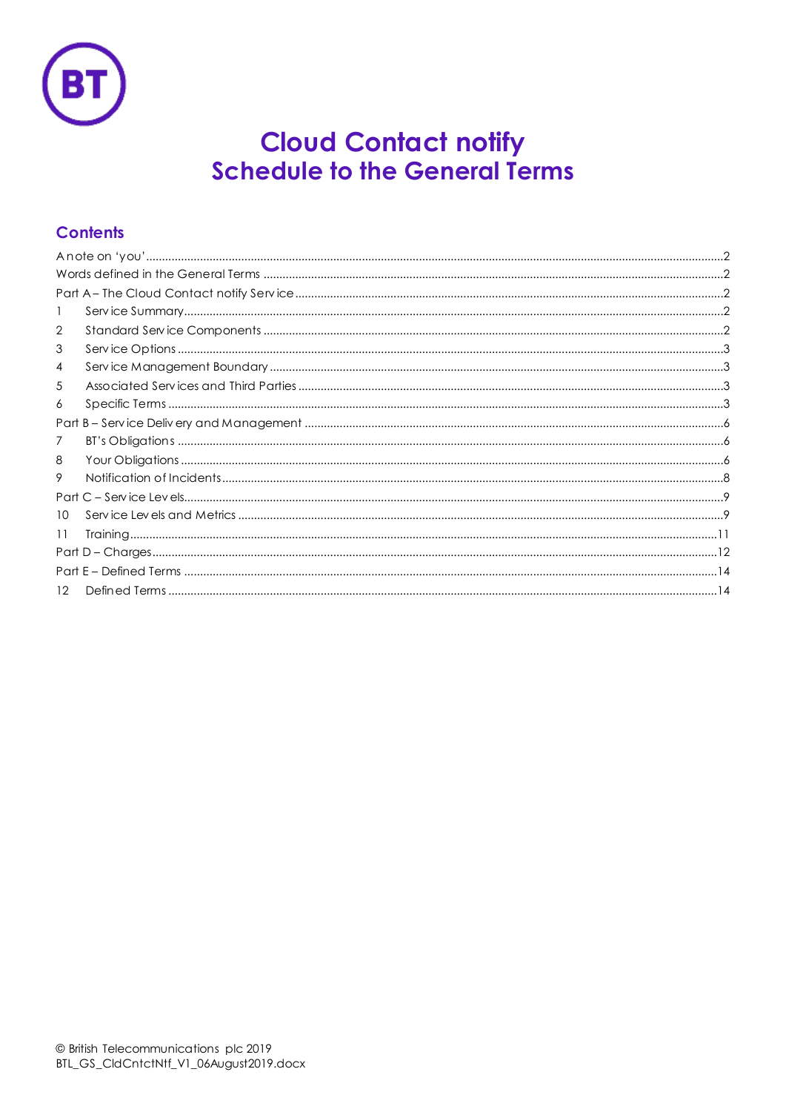

# **Cloud Contact notify<br>Schedule to the General Terms**

# **Contents**

| $\mathbf{1}$ |  |  |  |  |
|--------------|--|--|--|--|
| 2            |  |  |  |  |
| 3            |  |  |  |  |
| 4            |  |  |  |  |
| 5            |  |  |  |  |
| 6            |  |  |  |  |
|              |  |  |  |  |
| 7            |  |  |  |  |
| 8            |  |  |  |  |
| 9            |  |  |  |  |
|              |  |  |  |  |
| 10           |  |  |  |  |
| 11           |  |  |  |  |
|              |  |  |  |  |
|              |  |  |  |  |
| 12           |  |  |  |  |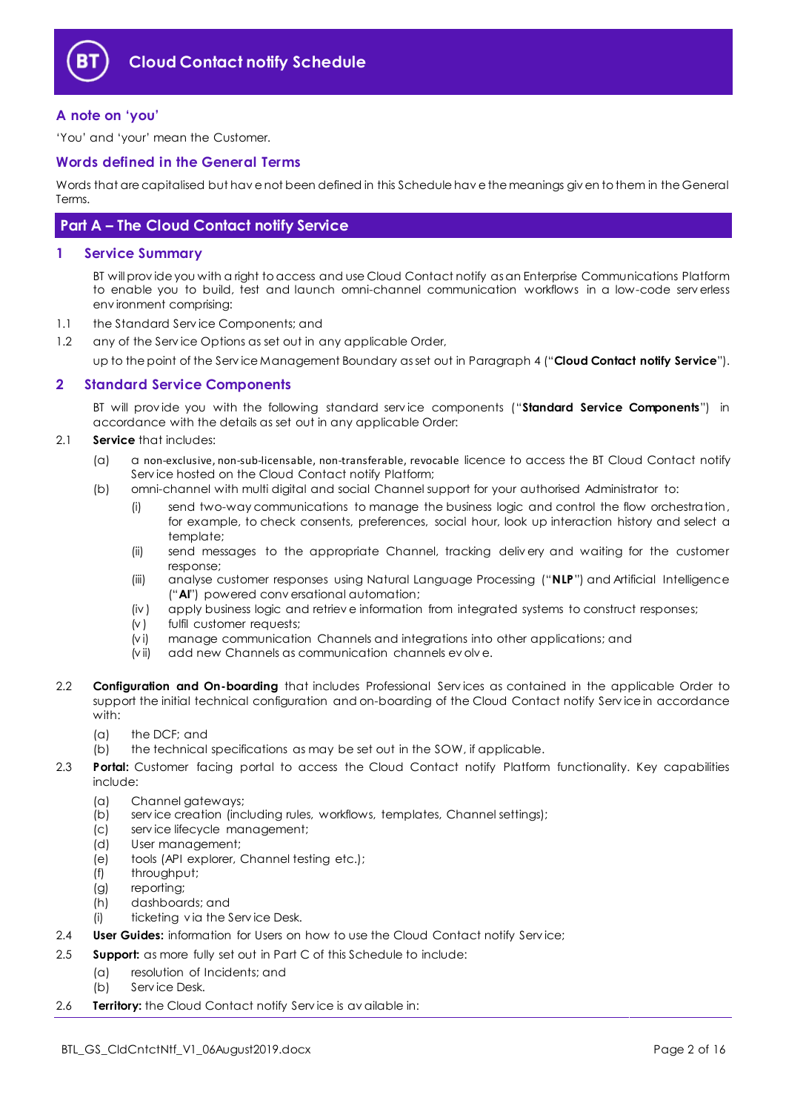

# <span id="page-1-0"></span>**A note on 'you'**

'You' and 'your' mean the Customer.

## <span id="page-1-1"></span>**Words defined in the General Terms**

Words that are capitalised but hav e not been defined in this Schedule hav e the meanings giv en to them in the General Terms.

# <span id="page-1-2"></span>**Part A – The Cloud Contact notify Service**

## <span id="page-1-3"></span>**1 Service Summary**

BT will prov ide you with a right to access and use Cloud Contact notify as an Enterprise Communications Platform to enable you to build, test and launch omni-channel communication workflows in a low-code serv erless env ironment comprising:

- 1.1 the Standard Serv ice Components; and
- 1.2 any of the Service Options as set out in any applicable Order,

up to the point of the Serv ice Management Boundary as set out in Paragrap[h 4](#page-2-1) ("**Cloud Contact notify Service**").

# <span id="page-1-4"></span>**2 Standard Service Components**

BT will prov ide you with the following standard serv ice components ("**Standard Service Components**") in accordance with the details as set out in any applicable Order:

- 2.1 **Service** that includes:
	- (a) a non-exclusive, non-sub-licensable, non-transferable, revocable licence to access the BT Cloud Contact notify Serv ice hosted on the Cloud Contact notify Platform;
	- (b) omni-channel with multi digital and social Channel support for your authorised Administrator to:
		- (i) send two-way communications to manage the business logic and control the flow orchestration, for example, to check consents, preferences, social hour, look up interaction history and select a template;
		- (ii) send messages to the appropriate Channel, tracking deliv ery and waiting for the customer response;
		- (iii) analyse customer responses using Natural Language Processing ("**NLP**") and Artificial Intelligence ("**AI**") powered conv ersational automation;
		- (iv ) apply business logic and retriev e information from integrated systems to construct responses;
		- (v ) fulfil customer requests;
		- (v i) manage communication Channels and integrations into other applications; and
		- (v ii) add new Channels as communication channels ev olv e.
- 2.2 **Configuration and On-boarding** that includes Professional Serv ices as contained in the applicable Order to support the initial technical configuration and on-boarding of the Cloud Contact notify Serv ice in accordance with:
	- (a) the DCF; and
	- (b) the technical specifications as may be set out in the SOW, if applicable.
- 2.3 **Portal:** Customer facing portal to access the Cloud Contact notify Platform functionality. Key capabilities include:
	- (a) Channel gateways;
	- (b) serv ice creation (including rules, workflows, templates, Channel settings);
	- (c) serv ice lifecycle management;
	- (d) User management;
	- (e) tools (API explorer, Channel testing etc.);
	- (f) throughput;
	- (g) reporting;
	- (h) dashboards; and
	- (i) ticketing v ia the Serv ice Desk.
- 2.4 **User Guides:** information for Users on how to use the Cloud Contact notify Service;
- 2.5 **Support:** as more fully set out in Part C of this Schedule to include:
	- (a) resolution of Incidents; and
		- (b) Serv ice Desk.
- 2.6 **Territory:** the Cloud Contact notify Serv ice is av ailable in: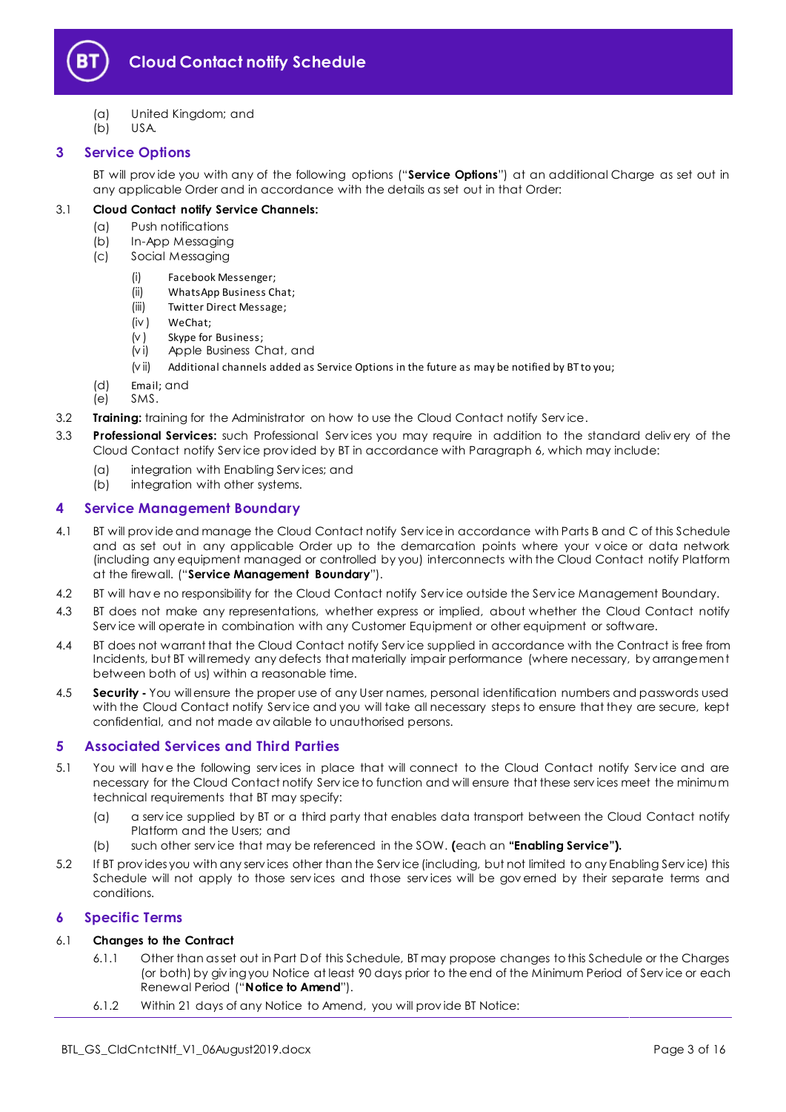

- (a) United Kingdom; and
- (b) USA.

# <span id="page-2-0"></span>**3 Service Options**

BT will prov ide you with any of the following options ("**Service Options**") at an additional Charge as set out in any applicable Order and in accordance with the details as set out in that Order:

# 3.1 **Cloud Contact notify Service Channels:**

- (a) Push notifications
- (b) In-App Messaging
- (c) Social Messaging
	- (i) Facebook Messenger;
	- (ii) WhatsApp Business Chat;
	- (iii) Twitter Direct Message;
	- (iv ) WeChat;
	- (v ) Skype for Business;
	- (v i) Apple Business Chat, and
	- (v ii) Additional channels added as Service Options in the future as may be notified by BT to you;
- (d) Email; and
- (e) SMS.
- 3.2 **Training:** training for the Administrator on how to use the Cloud Contact notify Serv ice.
- 3.3 **Professional Services:** such Professional Serv ices you may require in addition to the standard deliv ery of the Cloud Contact notify Serv ice prov ided by BT in accordance with Paragraph 6, which may include:
	- (a) integration with Enabling Serv ices; and
	- (b) integration with other systems.

# <span id="page-2-1"></span>**4 Service Management Boundary**

- <span id="page-2-4"></span>4.1 BT will prov ide and manage the Cloud Contact notify Serv ice in accordance with Parts B and C of this Schedule and as set out in any applicable Order up to the demarcation points where your v oice or data network (including any equipment managed or controlled by you) interconnects with the Cloud Contact notify Platform at the firewall. ("**Service Management Boundary**").
- 4.2 BT will hav e no responsibility for the Cloud Contact notify Serv ice outside the Serv ice Management Boundary.
- 4.3 BT does not make any representations, whether express or implied, about whether the Cloud Contact notify Serv ice will operate in combination with any Customer Equipment or other equipment or software.
- 4.4 BT does not warrant that the Cloud Contact notify Serv ice supplied in accordance with the Contract is free from Incidents, but BT will remedy any defects that materially impair performance (where necessary, by arrangement between both of us) within a reasonable time.
- 4.5 **Security -** You will ensure the proper use of any User names, personal identification numbers and passwords used with the Cloud Contact notify Serv ice and you will take all necessary steps to ensure that they are secure, kept confidential, and not made av ailable to unauthorised persons.

# <span id="page-2-2"></span>**5 Associated Services and Third Parties**

- 5.1 You will have the following services in place that will connect to the Cloud Contact notify Service and are necessary for the Cloud Contact notify Serv ice to function and will ensure that these serv ices meet the minimum technical requirements that BT may specify:
	- (a) a serv ice supplied by BT or a third party that enables data transport between the Cloud Contact notify Platform and the Users; and
	- (b) such other serv ice that may be referenced in the SOW. **(**each an **"Enabling Service").**
- 5.2 If BT prov ides you with any serv ices other than the Serv ice (including, but not limited to any Enabling Serv ice) this Schedule will not apply to those serv ices and those serv ices will be gov erned by their separate terms and conditions.

# <span id="page-2-3"></span>**6 Specific Terms**

# 6.1 **Changes to the Contract**

- 6.1.1 Other than as set out in Part D of this Schedule, BT may propose changes to this Schedule or the Charges (or both) by giv ing you Notice at least 90 days prior to the end of the Minimum Period of Serv ice or each Renewal Period ("**Notice to Amend**").
- 6.1.2 Within 21 days of any Notice to Amend, you will prov ide BT Notice: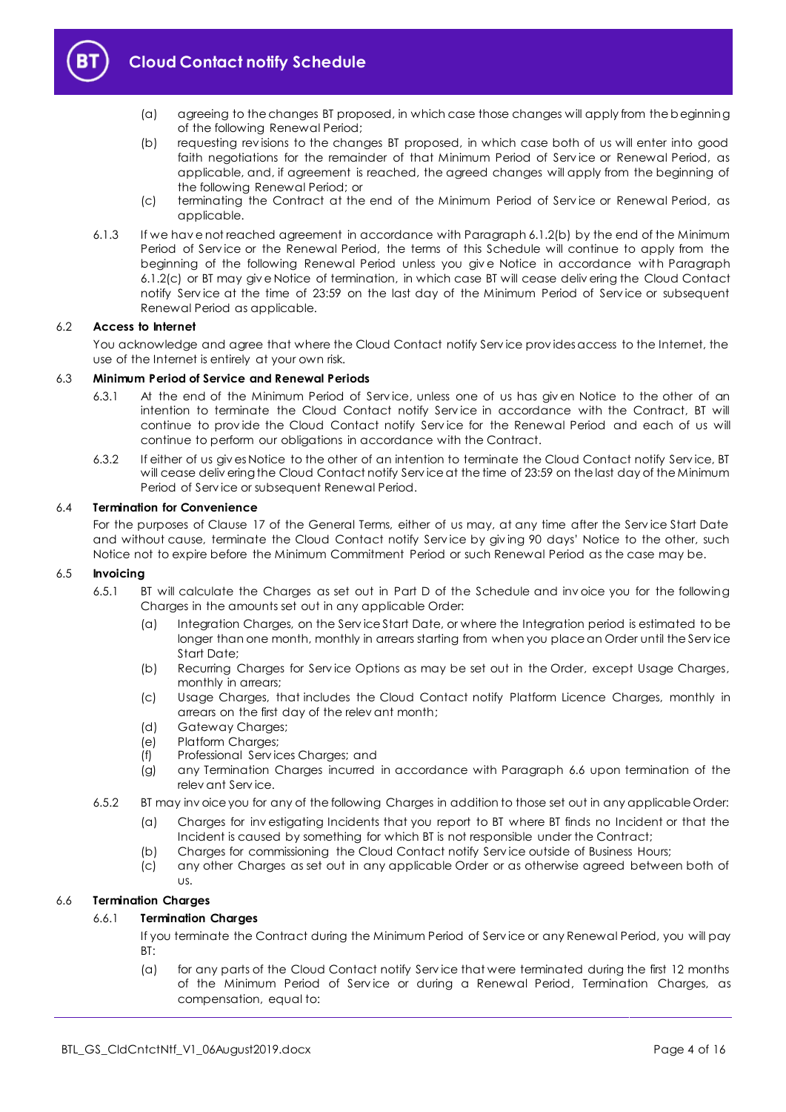

- (a) agreeing to the changes BT proposed, in which case those changes will apply from the beginning of the following Renewal Period;
- <span id="page-3-0"></span>(b) requesting rev isions to the changes BT proposed, in which case both of us will enter into good faith negotiations for the remainder of that Minimum Period of Serv ice or Renewal Period, as applicable, and, if agreement is reached, the agreed changes will apply from the beginning of the following Renewal Period; or
- (c) terminating the Contract at the end of the Minimum Period of Serv ice or Renewal Period, as applicable.
- <span id="page-3-1"></span>6.1.3 If we hav e not reached agreement in accordance with Paragrap[h 6.1.2\(b\)](#page-3-0) by the end of the Minimum Period of Serv ice or the Renewal Period, the terms of this Schedule will continue to apply from the beginning of the following Renewal Period unless you giv e Notice in accordance with Paragraph [6.1.2\(c\)](#page-3-1) or BT may giv e Notice of termination, in which case BT will cease deliv ering the Cloud Contact notify Serv ice at the time of 23:59 on the last day of the Minimum Period of Serv ice or subsequent Renewal Period as applicable.

## 6.2 **Access to Internet**

You acknowledge and agree that where the Cloud Contact notify Serv ice prov ides access to the Internet, the use of the Internet is entirely at your own risk.

### 6.3 **Minimum Period of Service and Renewal Periods**

- 6.3.1 At the end of the Minimum Period of Serv ice, unless one of us has giv en Notice to the other of an intention to terminate the Cloud Contact notify Serv ice in accordance with the Contract, BT will continue to provide the Cloud Contact notify Service for the Renewal Period and each of us will continue to perform our obligations in accordance with the Contract.
- 6.3.2 If either of us giv es Notice to the other of an intention to terminate the Cloud Contact notify Serv ice, BT will cease deliv ering the Cloud Contact notify Serv ice at the time of 23:59 on the last day of the Minimum Period of Serv ice or subsequent Renewal Period.

#### 6.4 **Termination for Convenience**

For the purposes of Clause 17 of the General Terms, either of us may, at any time after the Serv ice Start Date and without cause, terminate the Cloud Contact notify Serv ice by giv ing 90 days' Notice to the other, such Notice not to expire before the Minimum Commitment Period or such Renewal Period as the case may be.

## 6.5 **Invoicing**

- 6.5.1 BT will calculate the Charges as set out in Part D of the Schedule and inv oice you for the following Charges in the amounts set out in any applicable Order:
	- (a) Integration Charges, on the Serv ice Start Date, or where the Integration period is estimated to be longer than one month, monthly in arrears starting from when you place an Order until the Service Start Date;
	- (b) Recurring Charges for Service Options as may be set out in the Order, except Usage Charges, monthly in arrears;
	- (c) Usage Charges, that includes the Cloud Contact notify Platform Licence Charges, monthly in arrears on the first day of the relev ant month;
	- (d) Gateway Charges;
	- (e) Platform Charges;
	- (f) Professional Serv ices Charges; and
	- (g) any Termination Charges incurred in accordance with Paragraph 6.6 upon termination of the relev ant Serv ice.
- 6.5.2 BT may inv oice you for any of the following Charges in addition to those set out in any applicable Order:
	- (a) Charges for inv estigating Incidents that you report to BT where BT finds no Incident or that the Incident is caused by something for which BT is not responsible under the Contract;
	- (b) Charges for commissioning the Cloud Contact notify Serv ice outside of Business Hours;
	- (c) any other Charges as set out in any applicable Order or as otherwise agreed between both of us.

## 6.6 **Termination Charges**

#### 6.6.1 **Termination Charges**

If you terminate the Contract during the Minimum Period of Serv ice or any Renewal Period, you will pay BT:

(a) for any parts of the Cloud Contact notify Serv ice that were terminated during the first 12 months of the Minimum Period of Serv ice or during a Renewal Period, Termination Charges, as compensation, equal to: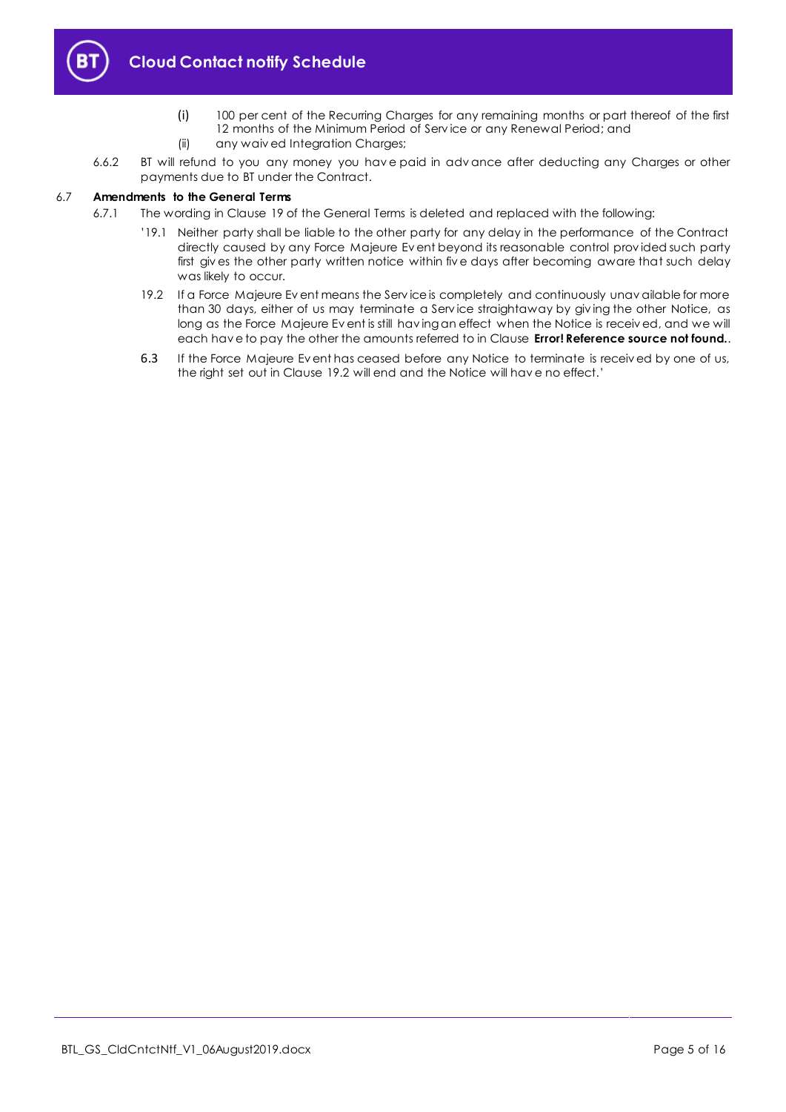

- (i) 100 per cent of the Recurring Charges for any remaining months or part thereof of the first 12 months of the Minimum Period of Serv ice or any Renewal Period; and
- (ii) any waiv ed Integration Charges;
- 6.6.2 BT will refund to you any money you hav e paid in adv ance after deducting any Charges or other payments due to BT under the Contract.

## 6.7 **Amendments to the General Terms**

- 6.7.1 The wording in Clause 19 of the General Terms is deleted and replaced with the following:
	- '19.1 Neither party shall be liable to the other party for any delay in the performance of the Contract directly caused by any Force Majeure Ev ent beyond its reasonable control prov ided such party first giv es the other party written notice within fiv e days after becoming aware that such delay was likely to occur.
	- 19.2 If a Force Majeure Ev ent means the Serv ice is completely and continuously unav ailable for more than 30 days, either of us may terminate a Serv ice straightaway by giv ing the other Notice, as long as the Force Majeure Ev ent is still hav ing an effect when the Notice is receiv ed, and we will each hav e to pay the other the amounts referred to in Clause **Error! Reference source not found.**.
	- 6.3 If the Force Majeure Ev ent has ceased before any Notice to terminate is receiv ed by one of us, the right set out in Clause 19.2 will end and the Notice will hav e no effect.'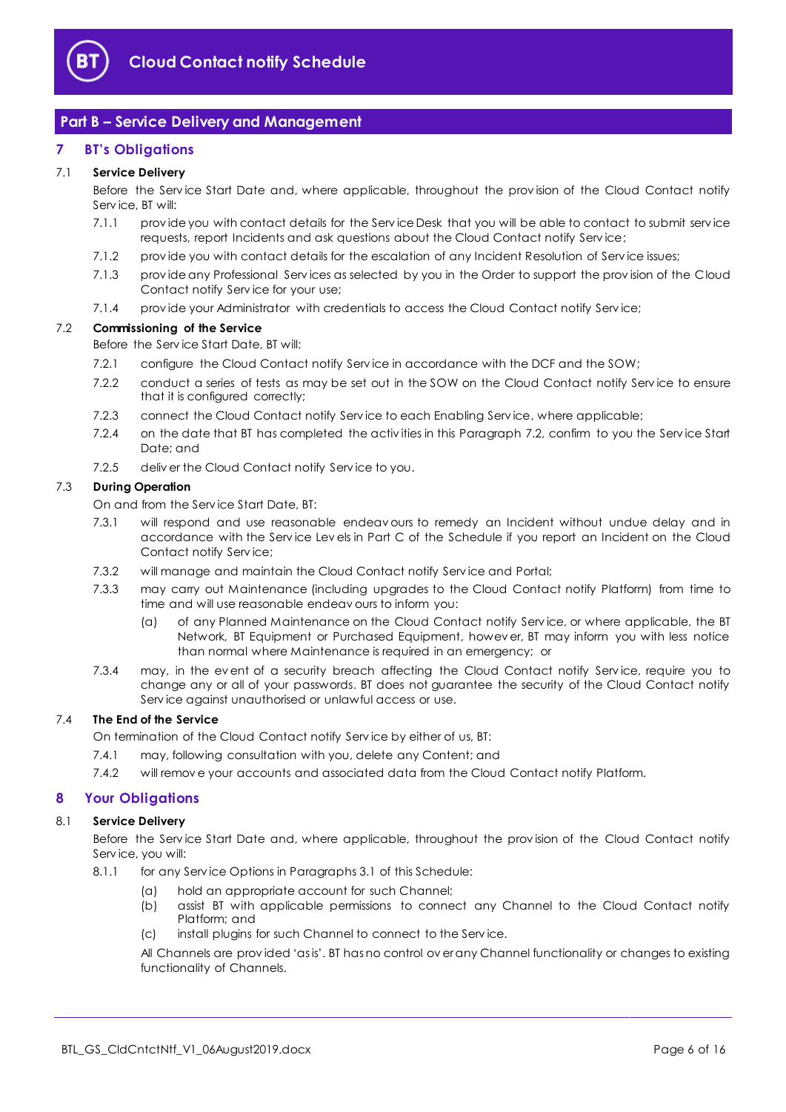

# <span id="page-5-0"></span>**Part B – Service Delivery and Management**

# <span id="page-5-1"></span>**7 BT's Obligations**

# 7.1 **Service Delivery**

Before the Serv ice Start Date and, where applicable, throughout the prov ision of the Cloud Contact notify Serv ice, BT will:

- 7.1.1 prov ide you with contact details for the Serv ice Desk that you will be able to contact to submit serv ice requests, report Incidents and ask questions about the Cloud Contact notify Serv ice;
- 7.1.2 provide you with contact details for the escalation of any Incident Resolution of Service issues;
- 7.1.3 prov ide any Professional Serv ices as selected by you in the Order to support the prov ision of the Cloud Contact notify Serv ice for your use;
- 7.1.4 prov ide your Administrator with credentials to access the Cloud Contact notify Serv ice;

## <span id="page-5-3"></span>7.2 **Commissioning of the Service**

Before the Serv ice Start Date, BT will:

- 7.2.1 configure the Cloud Contact notify Service in accordance with the DCF and the SOW;
- 7.2.2 conduct a series of tests as may be set out in the SOW on the Cloud Contact notify Service to ensure that it is configured correctly;
- 7.2.3 connect the Cloud Contact notify Serv ice to each Enabling Serv ice, where applicable;
- 7.2.4 on the date that BT has completed the activ ities in this Paragraph [7.2,](#page-5-3) confirm to you the Serv ice Start Date; and
- 7.2.5 deliv er the Cloud Contact notify Serv ice to you.

## 7.3 **During Operation**

- On and from the Serv ice Start Date, BT:
- 7.3.1 will respond and use reasonable endeav ours to remedy an Incident without undue delay and in accordance with the Serv ice Lev els in Part C of the Schedule if you report an Incident on the Cloud Contact notify Serv ice;
- 7.3.2 will manage and maintain the Cloud Contact notify Serv ice and Portal;
- 7.3.3 may carry out Maintenance (including upgrades to the Cloud Contact notify Platform) from time to time and will use reasonable endeav ours to inform you:
	- (a) of any Planned Maintenance on the Cloud Contact notify Serv ice, or where applicable, the BT Network, BT Equipment or Purchased Equipment, howev er, BT may inform you with less notice than normal where Maintenance is required in an emergency; or
- 7.3.4 may, in the event of a security breach affecting the Cloud Contact notify Service, require you to change any or all of your passwords. BT does not guarantee the security of the Cloud Contact notify Serv ice against unauthorised or unlawful access or use.

## 7.4 **The End of the Service**

On termination of the Cloud Contact notify Serv ice by either of us, BT:

- 7.4.1 may, following consultation with you, delete any Content; and
- 7.4.2 will remov e your accounts and associated data from the Cloud Contact notify Platform.

# <span id="page-5-2"></span>**8 Your Obligations**

# 8.1 **Service Delivery**

Before the Serv ice Start Date and, where applicable, throughout the prov ision of the Cloud Contact notify Serv ice, you will:

- 8.1.1 for any Serv ice Options in Paragraphs 3.1 of this Schedule:
	- (a) hold an appropriate account for such Channel;
	- (b) assist BT with applicable permissions to connect any Channel to the Cloud Contact notify Platform; and
	- (c) install plugins for such Channel to connect to the Serv ice.

All Channels are prov ided 'as is'. BT has no control ov er any Channel functionality or changes to existing functionality of Channels.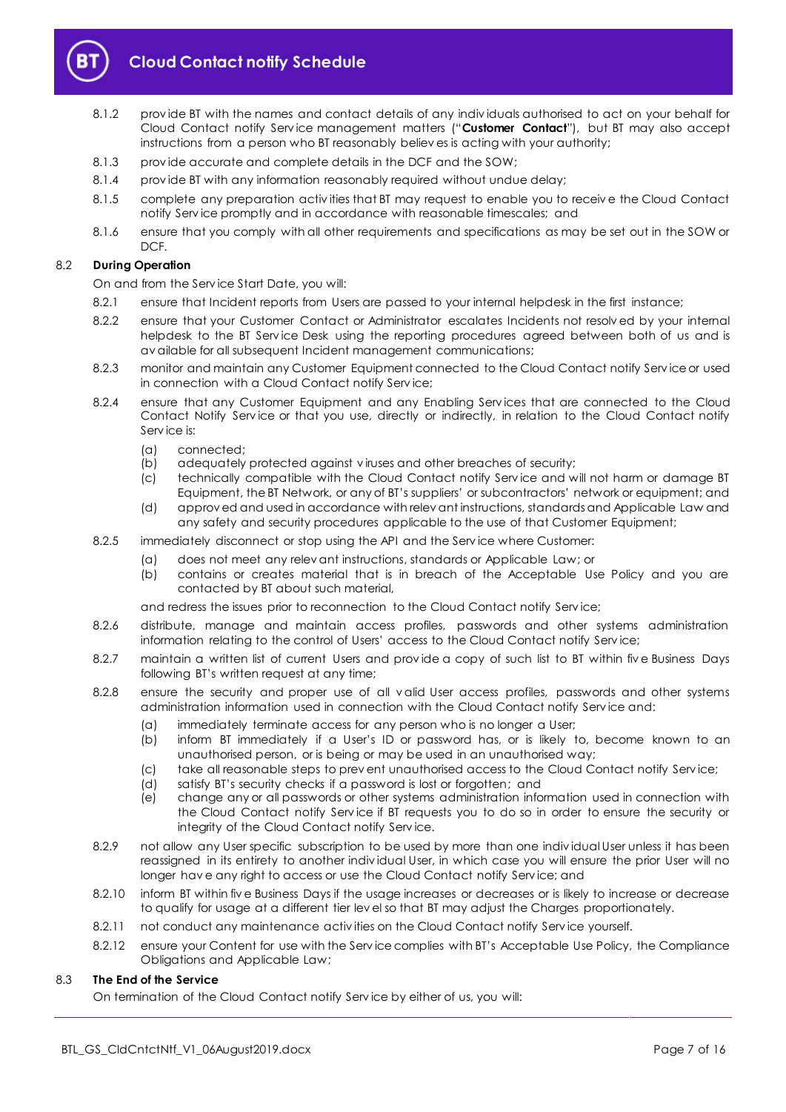

# **Cloud Contact notify Schedule**

- 8.1.2 prov ide BT with the names and contact details of any indiv iduals authorised to act on your behalf for Cloud Contact notify Serv ice management matters ("**Customer Contact**"), but BT may also accept instructions from a person who BT reasonably believ es is acting with your authority;
- 8.1.3 prov ide accurate and complete details in the DCF and the SOW;
- 8.1.4 prov ide BT with any information reasonably required without undue delay;
- 8.1.5 complete any preparation activ ities that BT may request to enable you to receiv e the Cloud Contact notify Serv ice promptly and in accordance with reasonable timescales; and
- 8.1.6 ensure that you comply with all other requirements and specifications as may be set out in the SOW or DCF.

## 8.2 **During Operation**

On and from the Serv ice Start Date, you will:

- 8.2.1 ensure that Incident reports from Users are passed to your internal helpdesk in the first instance;
- 8.2.2 ensure that your Customer Contact or Administrator escalates Incidents not resolv ed by your internal helpdesk to the BT Serv ice Desk using the reporting procedures agreed between both of us and is av ailable for all subsequent Incident management communications;
- 8.2.3 monitor and maintain any Customer Equipment connected to the Cloud Contact notify Serv ice or used in connection with a Cloud Contact notify Serv ice;
- 8.2.4 ensure that any Customer Equipment and any Enabling Services that are connected to the Cloud Contact Notify Service or that you use, directly or indirectly, in relation to the Cloud Contact notify Serv ice is:
	- (a) connected;
	- (b) adequately protected against v iruses and other breaches of security;
	- (c) technically compatible with the Cloud Contact notify Serv ice and will not harm or damage BT Equipment, the BT Network, or any of BT's suppliers' or subcontractors' network or equipment; and
	- (d) approv ed and used in accordance with relev ant instructions, standards and Applicable Law and any safety and security procedures applicable to the use of that Customer Equipment;
- 8.2.5 immediately disconnect or stop using the API and the Serv ice where Customer:
	- (a) does not meet any relev ant instructions, standards or Applicable Law; or
	- (b) contains or creates material that is in breach of the Acceptable Use Policy and you are contacted by BT about such material,

and redress the issues prior to reconnection to the Cloud Contact notify Serv ice;

- 8.2.6 distribute, manage and maintain access profiles, passwords and other systems administration information relating to the control of Users' access to the Cloud Contact notify Serv ice;
- 8.2.7 maintain a written list of current Users and provide a copy of such list to BT within five Business Days following BT's written request at any time;
- 8.2.8 ensure the security and proper use of all v alid User access profiles, passwords and other systems administration information used in connection with the Cloud Contact notify Serv ice and:
	- (a) immediately terminate access for any person who is no longer a User;
	- (b) inform BT immediately if a User's ID or password has, or is likely to, become known to an unauthorised person, or is being or may be used in an unauthorised way;
	- (c) take all reasonable steps to prev ent unauthorised access to the Cloud Contact notify Serv ice;
	- (d) satisfy BT's security checks if a password is lost or forgotten; and
	- (e) change any or all passwords or other systems administration information used in connection with the Cloud Contact notify Serv ice if BT requests you to do so in order to ensure the security or integrity of the Cloud Contact notify Serv ice.
- 8.2.9 not allow any User specific subscription to be used by more than one indiv idual User unless it has been reassigned in its entirety to another indiv idual User, in which case you will ensure the prior User will no longer hav e any right to access or use the Cloud Contact notify Serv ice; and
- 8.2.10 inform BT within five Business Days if the usage increases or decreases or is likely to increase or decrease to qualify for usage at a different tier lev el so that BT may adjust the Charges proportionately.
- 8.2.11 not conduct any maintenance activities on the Cloud Contact notify Service yourself.
- 8.2.12 ensure your Content for use with the Serv ice complies with BT's Acceptable Use Policy, the Compliance Obligations and Applicable Law;

# 8.3 **The End of the Service**

On termination of the Cloud Contact notify Serv ice by either of us, you will: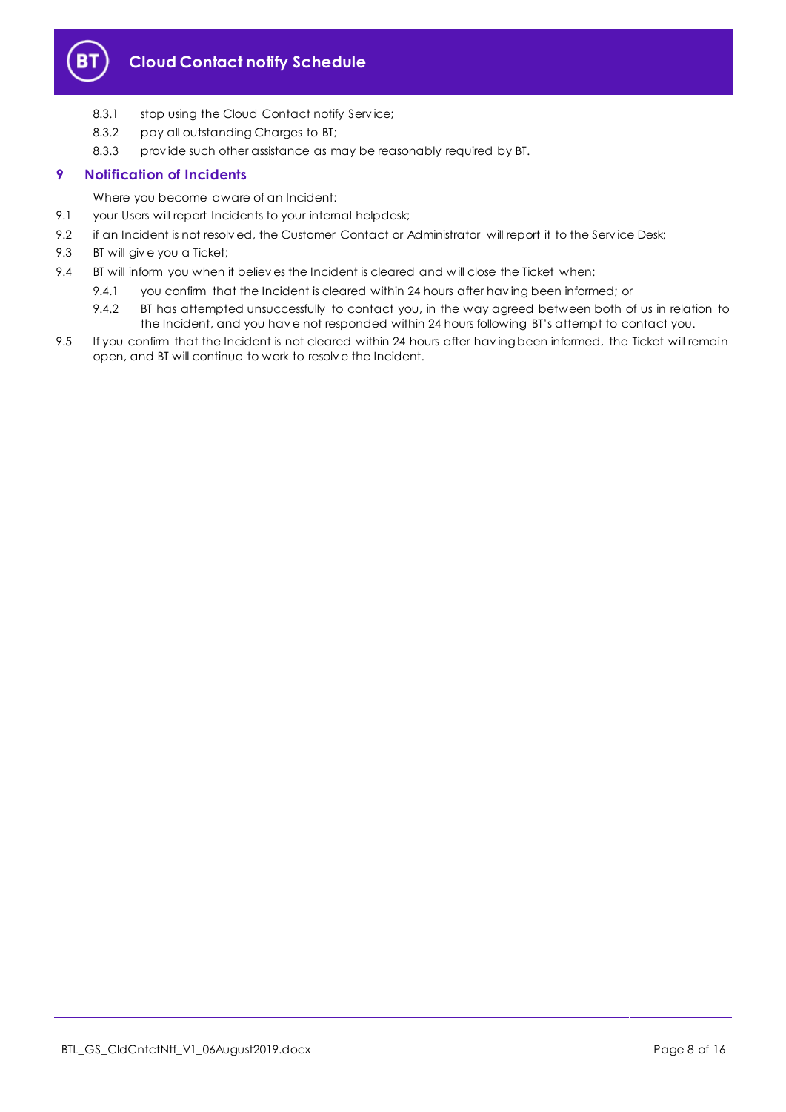

# **Cloud Contact notify Schedule**

- 8.3.1 stop using the Cloud Contact notify Service;
- 8.3.2 pay all outstanding Charges to BT;
- 8.3.3 prov ide such other assistance as may be reasonably required by BT.

# <span id="page-7-0"></span>**9 Notification of Incidents**

Where you become aware of an Incident:

- 9.1 your Users will report Incidents to your internal helpdesk;
- 9.2 if an Incident is not resolved, the Customer Contact or Administrator will report it to the Service Desk;
- 9.3 BT will giv e you a Ticket;
- 9.4 BT will inform you when it believ es the Incident is cleared and will close the Ticket when:
	- 9.4.1 you confirm that the Incident is cleared within 24 hours after having been informed; or
		- 9.4.2 BT has attempted unsuccessfully to contact you, in the way agreed between both of us in relation to the Incident, and you hav e not responded within 24 hours following BT's attempt to contact you.
- 9.5 If you confirm that the Incident is not cleared within 24 hours after having been informed, the Ticket will remain open, and BT will continue to work to resolv e the Incident.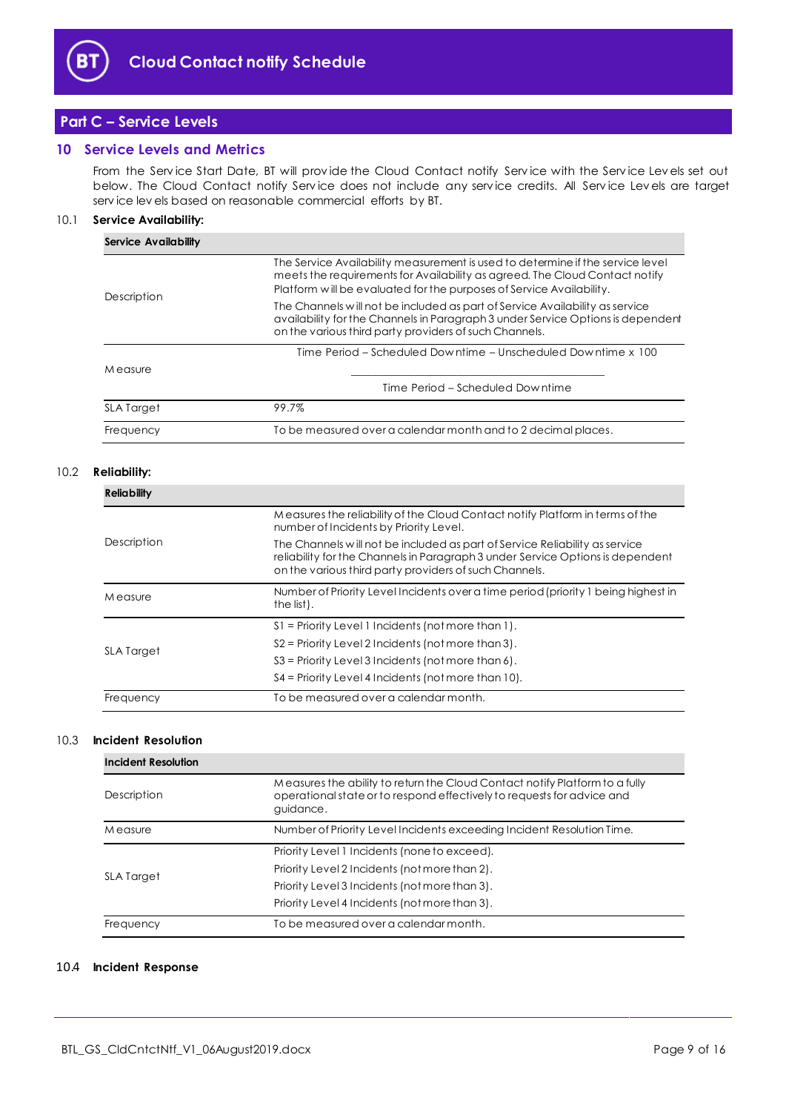

# <span id="page-8-0"></span>**Part C – Service Levels**

## <span id="page-8-1"></span>**10 Service Levels and Metrics**

From the Serv ice Start Date, BT will prov ide the Cloud Contact notify Serv ice with the Serv ice Lev els set out below. The Cloud Contact notify Serv ice does not include any serv ice credits. All Serv ice Lev els are target serv ice lev els based on reasonable commercial efforts by BT.

## 10.1 **Service Availability:**

| <b>Service Availability</b> |                                                                                                                                                                                                                                       |  |  |  |
|-----------------------------|---------------------------------------------------------------------------------------------------------------------------------------------------------------------------------------------------------------------------------------|--|--|--|
| Description                 | The Service Availability measurement is used to determine if the service level<br>meets the requirements for Availability as agreed. The Cloud Contact notify<br>Platform will be evaluated for the purposes of Service Availability. |  |  |  |
|                             | The Channels will not be included as part of Service Availability as service<br>availability for the Channels in Paragraph 3 under Service Options is dependent<br>on the various third party providers of such Channels.             |  |  |  |
|                             | Time Period – Scheduled Downtime – Unscheduled Downtime x 100                                                                                                                                                                         |  |  |  |
| M easure                    |                                                                                                                                                                                                                                       |  |  |  |
|                             | Time Period – Scheduled Downtime                                                                                                                                                                                                      |  |  |  |
| <b>SLA Target</b>           | 99.7%                                                                                                                                                                                                                                 |  |  |  |
| Frequency                   | To be measured over a calendar month and to 2 decimal places.                                                                                                                                                                         |  |  |  |

## 10.2 **Reliability:**

| <b>Reliability</b> |                                                                                                                                                                                                                         |  |  |  |
|--------------------|-------------------------------------------------------------------------------------------------------------------------------------------------------------------------------------------------------------------------|--|--|--|
|                    | Measures the reliability of the Cloud Contact notify Platform in terms of the<br>number of Incidents by Priority Level.                                                                                                 |  |  |  |
| Description        | The Channels will not be included as part of Service Reliability as service<br>reliability for the Channels in Paragraph 3 under Service Options is dependent<br>on the various third party providers of such Channels. |  |  |  |
| M easure           | Number of Priority Level Incidents over a time period (priority 1 being highest in<br>the list).                                                                                                                        |  |  |  |
|                    | $S1$ = Priority Level 1 Incidents (not more than 1).                                                                                                                                                                    |  |  |  |
| <b>SLA Target</b>  | $S2$ = Priority Level 2 Incidents (not more than 3).                                                                                                                                                                    |  |  |  |
|                    | $S3$ = Priority Level 3 Incidents (not more than 6).                                                                                                                                                                    |  |  |  |
|                    | S4 = Priority Level 4 Incidents (not more than 10).                                                                                                                                                                     |  |  |  |
| Frequency          | To be measured over a calendar month.                                                                                                                                                                                   |  |  |  |

#### 10.3 **Incident Resolution**

| <b>Incident Resolution</b>                                                         |                                                                                                                                                                    |  |
|------------------------------------------------------------------------------------|--------------------------------------------------------------------------------------------------------------------------------------------------------------------|--|
| Description                                                                        | Measures the ability to return the Cloud Contact notify Platform to a fully<br>operational state or to respond effectively to requests for advice and<br>guidance. |  |
| Number of Priority Level Incidents exceeding Incident Resolution Time.<br>M easure |                                                                                                                                                                    |  |
|                                                                                    | Priority Level 1 Incidents (none to exceed).                                                                                                                       |  |
| <b>SLA Target</b>                                                                  | Priority Level 2 Incidents (not more than 2).                                                                                                                      |  |
|                                                                                    | Priority Level 3 Incidents (not more than 3).                                                                                                                      |  |
|                                                                                    | Priority Level 4 Incidents (not more than 3).                                                                                                                      |  |
| Frequency                                                                          | To be measured over a calendar month.                                                                                                                              |  |

#### 10.4 **Incident Response**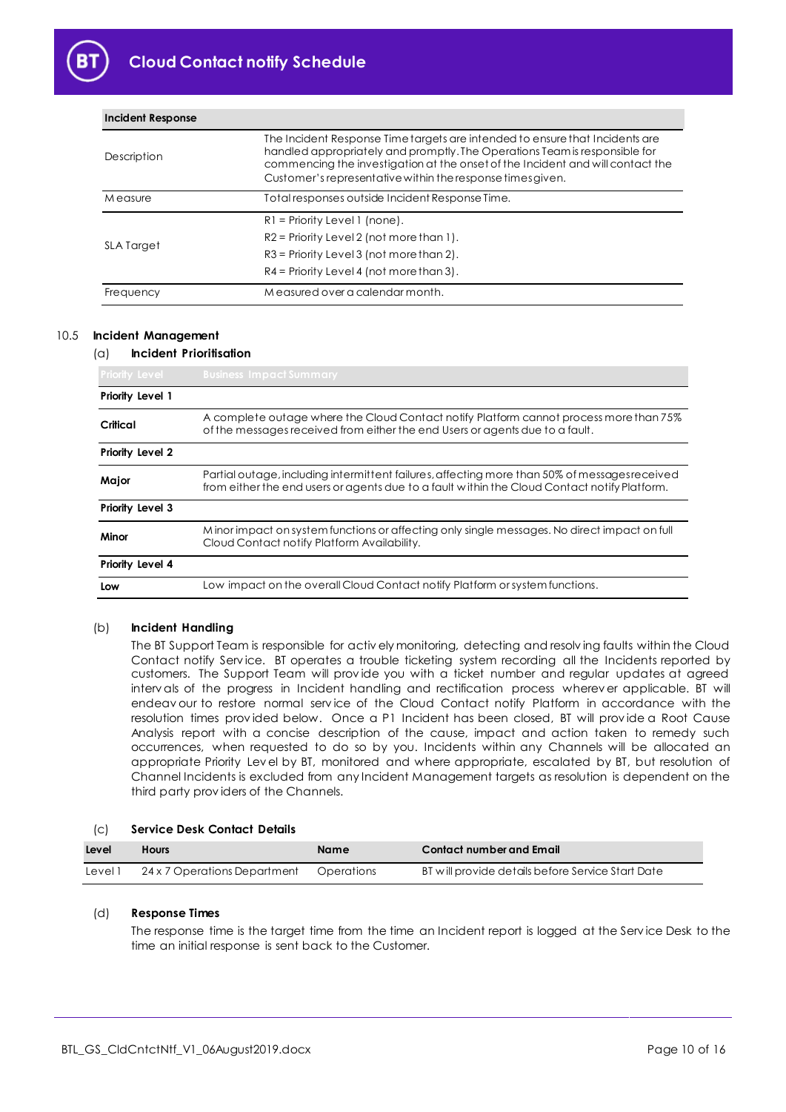

| Description       | The Incident Response Time targets are intended to ensure that Incidents are<br>handled appropriately and promptly. The Operations Team is responsible for<br>commencing the investigation at the onset of the Incident and will contact the<br>Customer's representative within the response times given. |  |
|-------------------|------------------------------------------------------------------------------------------------------------------------------------------------------------------------------------------------------------------------------------------------------------------------------------------------------------|--|
| M easure          | Total responses outside Incident Response Time.                                                                                                                                                                                                                                                            |  |
|                   | $R1$ = Priority Level 1 (none).                                                                                                                                                                                                                                                                            |  |
|                   | $R2$ = Priority Level 2 (not more than 1).                                                                                                                                                                                                                                                                 |  |
| <b>SLA Target</b> | $R3$ = Priority Level 3 (not more than 2).                                                                                                                                                                                                                                                                 |  |
|                   | $R4$ = Priority Level 4 (not more than 3).                                                                                                                                                                                                                                                                 |  |
| Frequency         | Measured over a calendar month.                                                                                                                                                                                                                                                                            |  |

### 10.5 **Incident Management**

**Incident Response**

## (a) **Incident Prioritisation**

| <b>Priority Level</b>                                                                                                                                | <b>Business Impact Summary</b>                                                                                                                                                                |  |  |
|------------------------------------------------------------------------------------------------------------------------------------------------------|-----------------------------------------------------------------------------------------------------------------------------------------------------------------------------------------------|--|--|
| Priority Level 1                                                                                                                                     |                                                                                                                                                                                               |  |  |
| Critical                                                                                                                                             | A complete outage where the Cloud Contact notify Platform cannot process more than 75%<br>of the messages received from either the end Users or agents due to a fault.                        |  |  |
| Priority Level 2                                                                                                                                     |                                                                                                                                                                                               |  |  |
| Major                                                                                                                                                | Partial outage, including intermittent failures, affecting more than 50% of messages received<br>from either the end users or agents due to a fault within the Cloud Contact notify Platform. |  |  |
| Priority Level 3                                                                                                                                     |                                                                                                                                                                                               |  |  |
| Minor impact on system functions or affecting only single messages. No direct impact on full<br>Minor<br>Cloud Contact notify Platform Availability. |                                                                                                                                                                                               |  |  |
| Priority Level 4                                                                                                                                     |                                                                                                                                                                                               |  |  |
| Low                                                                                                                                                  | Low impact on the overall Cloud Contact notify Platform or system functions.                                                                                                                  |  |  |

## (b) **Incident Handling**

The BT Support Team is responsible for activ ely monitoring, detecting and resolv ing faults within the Cloud Contact notify Service. BT operates a trouble ticketing system recording all the Incidents reported by customers. The Support Team will prov ide you with a ticket number and regular updates at agreed interv als of the progress in Incident handling and rectification process wherev er applicable. BT will endeav our to restore normal serv ice of the Cloud Contact notify Platform in accordance with the resolution times prov ided below. Once a P1 Incident has been closed, BT will prov ide a Root Cause Analysis report with a concise description of the cause, impact and action taken to remedy such occurrences, when requested to do so by you. Incidents within any Channels will be allocated an appropriate Priority Lev el by BT, monitored and where appropriate, escalated by BT, but resolution of Channel Incidents is excluded from any Incident Management targets as resolution is dependent on the third party prov iders of the Channels.

#### (c) **Service Desk Contact Details**

| Level   | <b>Hours</b>                 | Name       | <b>Contact number and Email</b>                   |
|---------|------------------------------|------------|---------------------------------------------------|
| Level 1 | 24 x 7 Operations Department | Operations | BT will provide details before Service Start Date |

## (d) **Response Times**

The response time is the target time from the time an Incident report is logged at the Serv ice Desk to the time an initial response is sent back to the Customer.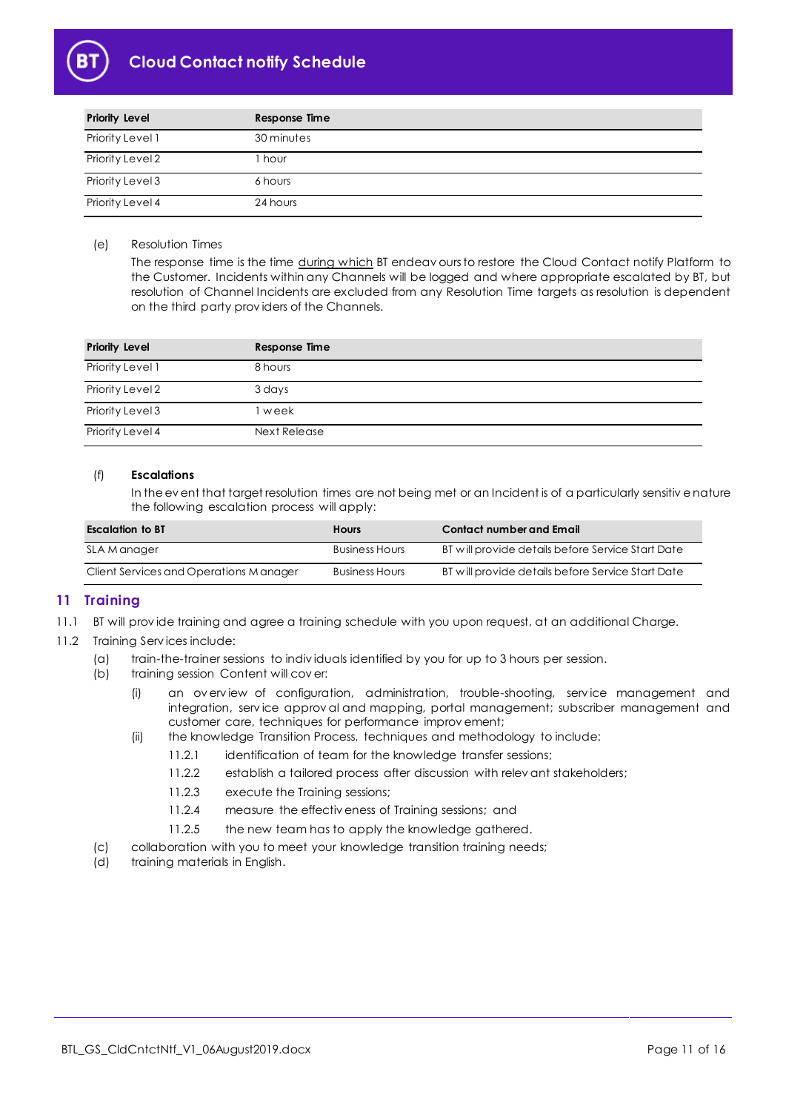

# **Cloud Contact notify Schedule**

| <b>Priority Level</b> | Response Time |
|-----------------------|---------------|
| Priority Level 1      | 30 minutes    |
| Priority Level 2      | hour          |
| Priority Level 3      | 6 hours       |
| Priority Level 4      | 24 hours      |

## (e) Resolution Times

The response time is the time during which BT endeav ours to restore the Cloud Contact notify Platform to the Customer. Incidents within any Channels will be logged and where appropriate escalated by BT, but resolution of Channel Incidents are excluded from any Resolution Time targets as resolution is dependent on the third party prov iders of the Channels.

| <b>Priority Level</b> | <b>Response Time</b> |
|-----------------------|----------------------|
| Priority Level 1      | 8 hours              |
| Priority Level 2      | 3 days               |
| Priority Level 3      | week                 |
| Priority Level 4      | Next Release         |

## (f) **Escalations**

In the ev ent that target resolution times are not being met or an Incident is of a particularly sensitiv e nature the following escalation process will apply:

| <b>Escalation to BT</b>                 | <b>Hours</b>          | <b>Contact number and Email</b>                   |  |
|-----------------------------------------|-----------------------|---------------------------------------------------|--|
| SLA Manager                             | <b>Business Hours</b> | BT will provide details before Service Start Date |  |
| Client Services and Operations M anager | <b>Business Hours</b> | BT will provide details before Service Start Date |  |

# <span id="page-10-0"></span>**11 Training**

- 11.1 BT will prov ide training and agree a training schedule with you upon request, at an additional Charge.
- 11.2 Training Serv ices include:
	- (a) train-the-trainer sessions to indiv iduals identified by you for up to 3 hours per session.
	- (b) training session Content will cov er:
		- (i) an ov erv iew of configuration, administration, trouble-shooting, serv ice management and integration, serv ice approv al and mapping, portal management; subscriber management and customer care, techniques for performance improv ement;
		- (ii) the knowledge Transition Process, techniques and methodology to include:
			- 11.2.1 identification of team for the knowledge transfer sessions;
				- 11.2.2 establish a tailored process after discussion with relev ant stakeholders;
				- 11.2.3 execute the Training sessions;
				- 11.2.4 measure the effectiv eness of Training sessions; and
			- 11.2.5 the new team has to apply the knowledge gathered.
	- (c) collaboration with you to meet your knowledge transition training needs;
	- (d) training materials in English.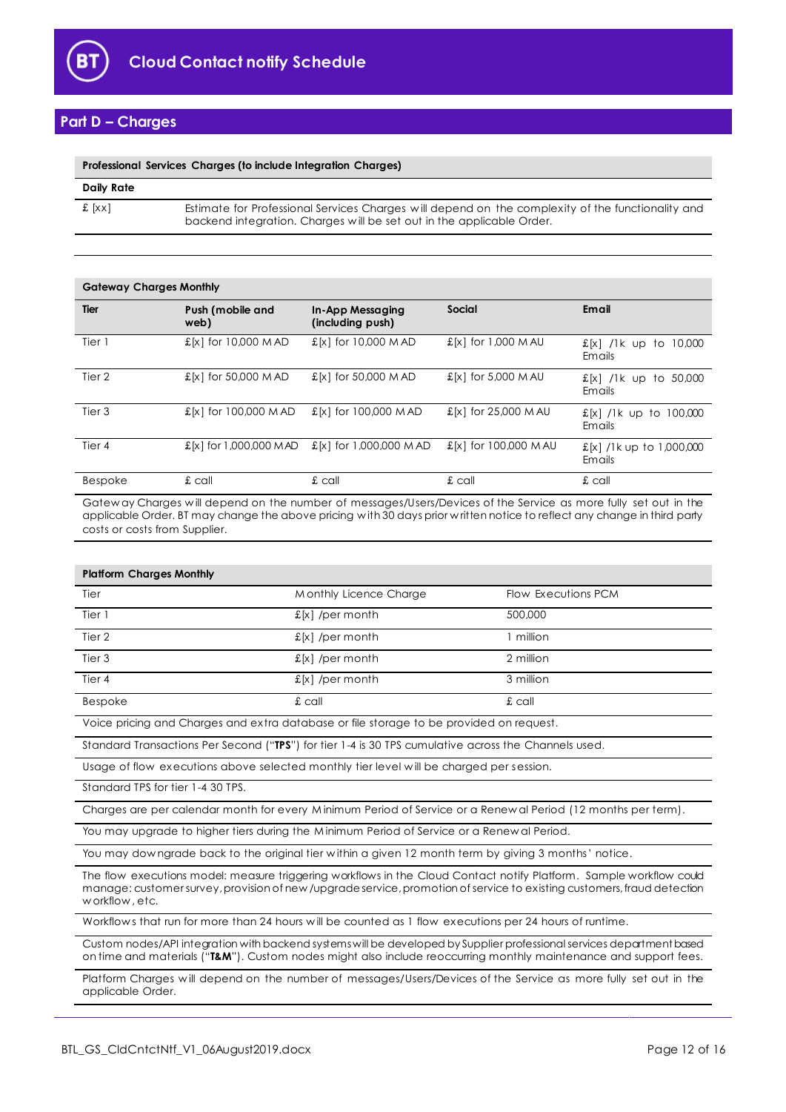

# <span id="page-11-0"></span>**Part D – Charges**

| Professional Services Charges (to include Integration Charges) |                                                                                                                                                                            |  |
|----------------------------------------------------------------|----------------------------------------------------------------------------------------------------------------------------------------------------------------------------|--|
| Daily Rate                                                     |                                                                                                                                                                            |  |
| f [xx]                                                         | Estimate for Professional Services Charges will depend on the complexity of the functionality and<br>backend integration. Charges will be set out in the applicable Order. |  |

| <b>Gateway Charges Monthly</b> |                          |                                             |                              |                                    |
|--------------------------------|--------------------------|---------------------------------------------|------------------------------|------------------------------------|
| Tier                           | Push (mobile and<br>web) | <b>In-App Messaging</b><br>(including push) | Social                       | Email                              |
| Tier 1                         | £[x] for 10,000 M AD     | $E[x]$ for 10,000 M AD                      | $\pounds$ [x] for 1,000 M AU | £[x] /lk up to<br>10.000<br>Emails |
| Tier 2                         | £[x] for 50,000 M AD     | £[x] for 50,000 M AD                        | £[x] for 5,000 M AU          | £[x] /lk up to<br>50,000<br>Emails |
| Tier 3                         | £[x] for 100,000 MAD     | £[x] for 100,000 MAD                        | £[x] for 25,000 M AU         | £[x] /1k up to 100,000<br>Emails   |
| Tier 4                         | £[x] for 1,000,000 MAD   | £[x] for 1,000,000 M AD                     | £[x] for 100,000 M AU        | £[x] /1k up to 1,000,000<br>Emails |
| Bespoke                        | $\pounds$ call           | $\pounds$ call                              | $\pounds$ call               | $\pounds$ call                     |

Gatew ay Charges w ill depend on the number of messages/Users/Devices of the Service as more fully set out in the applicable Order. BT may change the above pricing w ith 30 days prior w ritten notice to reflect any change in third party costs or costs from Supplier.

| <b>Platform Charges Monthly</b>                                                                                                                                                                                                                                  |                        |                     |
|------------------------------------------------------------------------------------------------------------------------------------------------------------------------------------------------------------------------------------------------------------------|------------------------|---------------------|
| Tier                                                                                                                                                                                                                                                             | Monthly Licence Charge | Flow Executions PCM |
| Tier 1                                                                                                                                                                                                                                                           | $f[x]$ /per month      | 500,000             |
| Tier 2                                                                                                                                                                                                                                                           | $f[x]$ /per month      | 1 million           |
| Tier <sub>3</sub>                                                                                                                                                                                                                                                | $f[x]$ /per month      | 2 million           |
| Tier 4                                                                                                                                                                                                                                                           | $f[x]$ /per month      | 3 million           |
| Bespoke                                                                                                                                                                                                                                                          | $\pounds$ call         | £ call              |
| Voice pricing and Charges and extra database or file storage to be provided on request.                                                                                                                                                                          |                        |                     |
| Standard Transactions Per Second ("TPS") for tier 1-4 is 30 TPS cumulative across the Channels used.                                                                                                                                                             |                        |                     |
| Usage of flow executions above selected monthly tier level will be charged per session.                                                                                                                                                                          |                        |                     |
| Standard TPS for tier 1-4 30 TPS.                                                                                                                                                                                                                                |                        |                     |
| Charges are per calendar month for every Minimum Period of Service or a Renewal Period (12 months per term).                                                                                                                                                     |                        |                     |
| You may upgrade to higher tiers during the Minimum Period of Service or a Renewal Period.                                                                                                                                                                        |                        |                     |
| You may downgrade back to the original tier within a given 12 month term by giving 3 months' notice.                                                                                                                                                             |                        |                     |
| The flow executions model: measure triggering workflows in the Cloud Contact notify Platform. Sample workflow could<br>manage: customer survey, provision of new /upgrade service, promotion of service to existing customers, fraud detection<br>workflow, etc. |                        |                     |
| Workflows that run for more than 24 hours will be counted as 1 flow executions per 24 hours of runtime.                                                                                                                                                          |                        |                     |
| Custom nodes/API integration with backend systems will be developed by Supplier professional services department based<br>on time and materials ("T&M"). Custom nodes might also include reoccurring monthly maintenance and support fees.                       |                        |                     |
| Platform Charges will depend on the number of messages/Users/Devices of the Service as more fully set out in the<br>applicable Order.                                                                                                                            |                        |                     |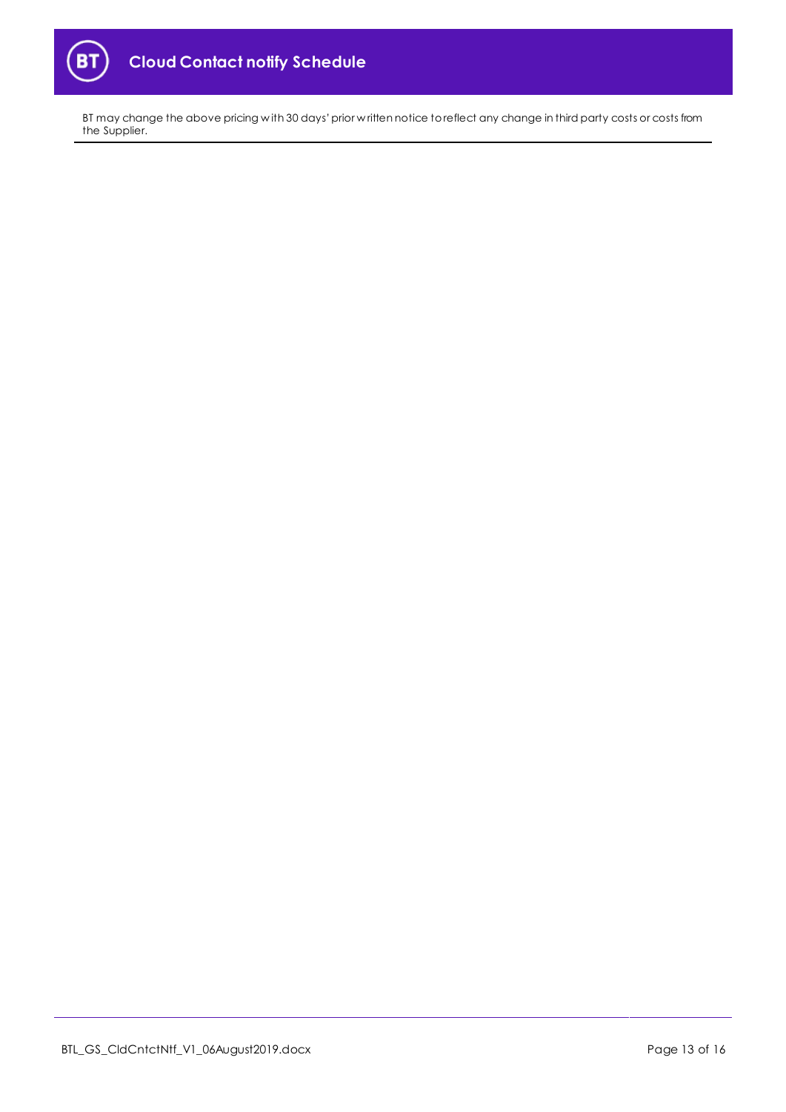

BT may change the above pricing w ith 30 days' prior w ritten notice to reflect any change in third party costs or costs from the Supplier.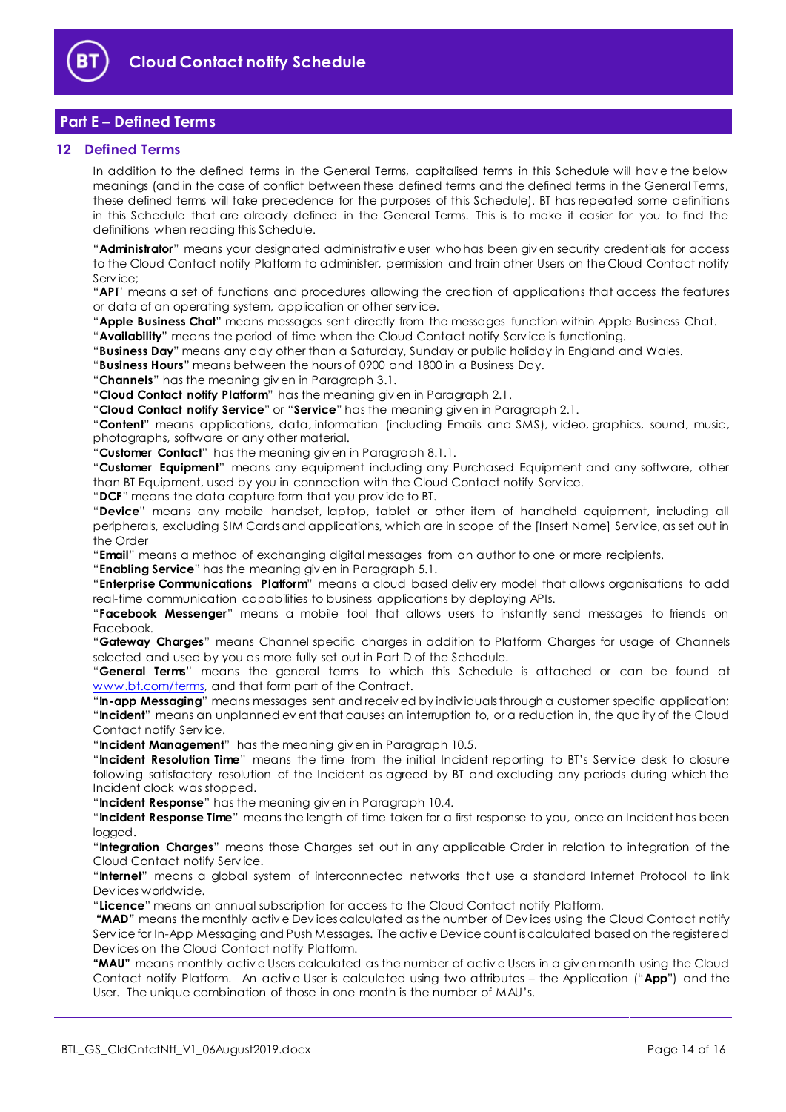

# <span id="page-13-0"></span>**Part E – Defined Terms**

## <span id="page-13-1"></span>**12 Defined Terms**

In addition to the defined terms in the General Terms, capitalised terms in this Schedule will hav e the below meanings (and in the case of conflict between these defined terms and the defined terms in the General Terms, these defined terms will take precedence for the purposes of this Schedule). BT has repeated some definitions in this Schedule that are already defined in the General Terms. This is to make it easier for you to find the definitions when reading this Schedule.

"**Administrator**" means your designated administrativ e user who has been giv en security credentials for access to the Cloud Contact notify Platform to administer, permission and train other Users on the Cloud Contact notify Serv ice;

"**API**" means a set of functions and procedures allowing the creation of applications that access the features or data of an operating system, application or other serv ice.

"**Apple Business Chat**" means messages sent directly from the messages function within Apple Business Chat.

"**Availability**" means the period of time when the Cloud Contact notify Serv ice is functioning.

"**Business Day**" means any day other than a Saturday, Sunday or public holiday in England and Wales.

"**Business Hours**" means between the hours of 0900 and 1800 in a Business Day.

"**Channels**" has the meaning giv en in Paragraph 3.1.

"**Cloud Contact notify Platform**" has the meaning giv en in Paragraph 2.1.

"**Cloud Contact notify Service**" or "**Service**" has the meaning giv en in Paragraph 2.1.

"**Content**" means applications, data, information (including Emails and SMS), v ideo, graphics, sound, music, photographs, software or any other material.

"**Customer Contact**" has the meaning giv en in Paragraph 8.1.1.

"**Customer Equipment**" means any equipment including any Purchased Equipment and any software, other than BT Equipment, used by you in connection with the Cloud Contact notify Serv ice.

"**DCF**" means the data capture form that you prov ide to BT.

"**Device**" means any mobile handset, laptop, tablet or other item of handheld equipment, including all peripherals, excluding SIM Cards and applications, which are in scope of the [Insert Name] Serv ice, as set out in the Order

"**Email**" means a method of exchanging digital messages from an author to one or more recipients.

"**Enabling Service**" has the meaning giv en in Paragraph 5.1.

"**Enterprise Communications Platform**" means a cloud based deliv ery model that allows organisations to add real-time communication capabilities to business applications by deploying APIs.

"**Facebook Messenger**" means a mobile tool that allows users to instantly send messages to friends on Facebook.

"**Gateway Charges**" means Channel specific charges in addition to Platform Charges for usage of Channels selected and used by you as more fully set out in Part D of the Schedule.

"**General Terms**" means the general terms to which this Schedule is attached or can be found at [www.bt.com/terms,](http://www.bt.com/terms) and that form part of the Contract.

"**In-app Messaging**" means messages sent and receiv ed by indiv iduals through a customer specific application; "**Incident**" means an unplanned ev ent that causes an interruption to, or a reduction in, the quality of the Cloud Contact notify Serv ice.

"**Incident Management**" has the meaning giv en in Paragraph 10.5.

"**Incident Resolution Time**" means the time from the initial Incident reporting to BT's Serv ice desk to closure following satisfactory resolution of the Incident as agreed by BT and excluding any periods during which the Incident clock was stopped.

"**Incident Response**" has the meaning giv en in Paragraph 10.4.

"**Incident Response Time**" means the length of time taken for a first response to you, once an Incident has been logged.

"**Integration Charges**" means those Charges set out in any applicable Order in relation to integration of the Cloud Contact notify Serv ice.

"**Internet**" means a global system of interconnected networks that use a standard Internet Protocol to link Dev ices worldwide.

"**Licence**" means an annual subscription for access to the Cloud Contact notify Platform.

**"MAD"** means the monthly activ e Dev ices calculated as the number of Dev ices using the Cloud Contact notify Serv ice for In-App Messaging and Push Messages. The activ e Dev ice count is calculated based on the registered Dev ices on the Cloud Contact notify Platform.

**"MAU"** means monthly activ e Users calculated as the number of activ e Users in a giv en month using the Cloud Contact notify Platform. An activ e User is calculated using two attributes – the Application ("**App**") and the User. The unique combination of those in one month is the number of MAU's.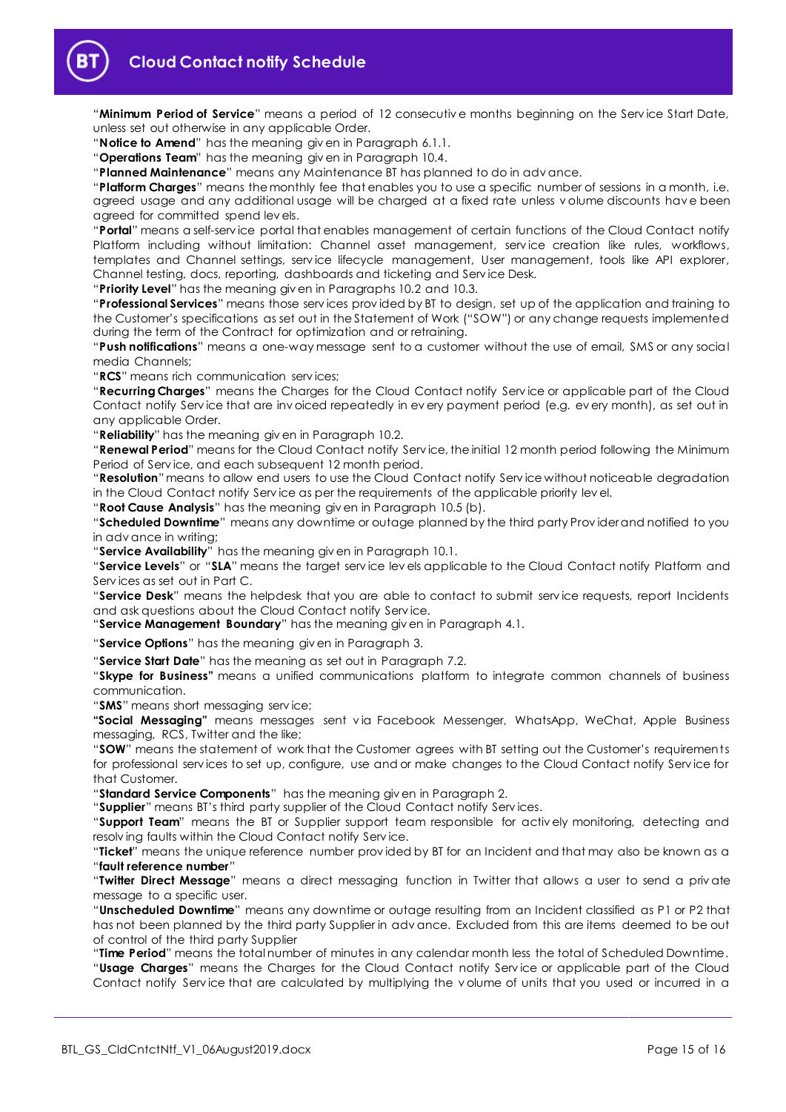

"**Minimum Period of Service**" means a period of 12 consecutiv e months beginning on the Serv ice Start Date, unless set out otherwise in any applicable Order.

"**Notice to Amend**" has the meaning giv en in Paragraph 6.1.1.

"**Operations Team**" has the meaning giv en in Paragraph 10.4.

"**Planned Maintenance**" means any Maintenance BT has planned to do in adv ance.

"**Platform Charges**" means the monthly fee that enables you to use a specific number of sessions in a month, i.e. agreed usage and any additional usage will be charged at a fixed rate unless v olume discounts hav e been agreed for committed spend lev els.

"**Portal**" means a self-serv ice portal that enables management of certain functions of the Cloud Contact notify Platform including without limitation: Channel asset management, service creation like rules, workflows, templates and Channel settings, serv ice lifecycle management, User management, tools like API explorer, Channel testing, docs, reporting, dashboards and ticketing and Serv ice Desk.

"**Priority Level**" has the meaning giv en in Paragraphs 10.2 and 10.3.

"**Professional Services**" means those serv ices prov ided by BT to design, set up of the application and training to the Customer's specifications as set out in the Statement of Work ("SOW") or any change requests implemented during the term of the Contract for optimization and or retraining.

"**Push notifications**" means a one-way message sent to a customer without the use of email, SMS or any social media Channels;

"**RCS**" means rich communication serv ices;

"**Recurring Charges**" means the Charges for the Cloud Contact notify Serv ice or applicable part of the Cloud Contact notify Serv ice that are inv oiced repeatedly in ev ery payment period (e.g. ev ery month), as set out in any applicable Order.

"**Reliability**" has the meaning giv en in Paragraph 10.2.

"**Renewal Period**" means for the Cloud Contact notify Serv ice, the initial 12 month period following the Minimum Period of Serv ice, and each subsequent 12 month period.

"**Resolution**" means to allow end users to use the Cloud Contact notify Serv ice without noticeable degradation in the Cloud Contact notify Serv ice as per the requirements of the applicable priority lev el.

"**Root Cause Analysis**" has the meaning giv en in Paragraph 10.5 (b).

"**Scheduled Downtime**" means any downtime or outage planned by the third party Prov ider and notified to you in adv ance in writing;

"**Service Availability**" has the meaning giv en in Paragraph 10.1.

"**Service Levels**" or "**SLA**" means the target serv ice lev els applicable to the Cloud Contact notify Platform and Serv ices as set out in Part C.

"**Service Desk**" means the helpdesk that you are able to contact to submit serv ice requests, report Incidents and ask questions about the Cloud Contact notify Serv ice.

"**Service Management Boundary**" has the meaning giv en in Paragraph [4.1.](#page-2-4)

"**Service Options**" has the meaning giv en in Paragrap[h 3.](#page-2-0)

"**Service Start Date**" has the meaning as set out in Paragraph 7.2.

"**Skype for Business"** means a unified communications platform to integrate common channels of business communication.

"**SMS**" means short messaging serv ice;

**"Social Messaging"** means messages sent v ia Facebook Messenger, WhatsApp, WeChat, Apple Business messaging, RCS, Twitter and the like;

"**SOW**" means the statement of work that the Customer agrees with BT setting out the Customer's requirements for professional serv ices to set up, configure, use and or make changes to the Cloud Contact notify Serv ice for that Customer.

"**Standard Service Components**" has the meaning giv en in Paragraph [2.](#page-1-4)

"**Supplier**" means BT's third party supplier of the Cloud Contact notify Serv ices.

"**Support Team**" means the BT or Supplier support team responsible for activ ely monitoring, detecting and resolv ing faults within the Cloud Contact notify Serv ice.

"**Ticket**" means the unique reference number prov ided by BT for an Incident and that may also be known as a "**fault reference number**"

"**Twitter Direct Message**" means a direct messaging function in Twitter that allows a user to send a priv ate message to a specific user.

"**Unscheduled Downtime**" means any downtime or outage resulting from an Incident classified as P1 or P2 that has not been planned by the third party Supplier in adv ance. Excluded from this are items deemed to be out of control of the third party Supplier

"**Time Period**" means the total number of minutes in any calendar month less the total of Scheduled Downtime. "**Usage Charges**" means the Charges for the Cloud Contact notify Serv ice or applicable part of the Cloud Contact notify Serv ice that are calculated by multiplying the v olume of units that you used or incurred in a